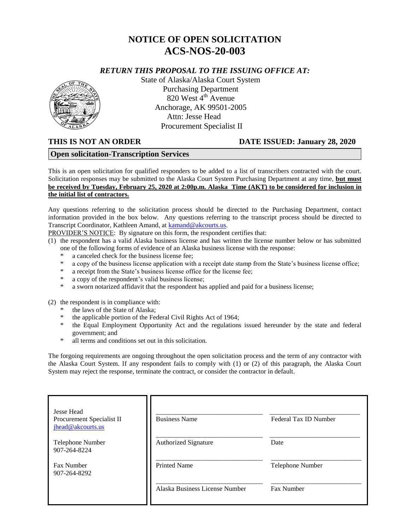# **NOTICE OF OPEN SOLICITATION ACS-NOS-20-003**

## *RETURN THIS PROPOSAL TO THE ISSUING OFFICE AT:*



State of Alaska/Alaska Court System Purchasing Department 820 West  $4<sup>th</sup>$  Avenue Anchorage, AK 99501-2005 Attn: Jesse Head Procurement Specialist II

#### **THIS IS NOT AN ORDER DATE ISSUED: January 28, 2020**

#### **Open solicitation-Transcription Services**

This is an open solicitation for qualified responders to be added to a list of transcribers contracted with the court. Solicitation responses may be submitted to the Alaska Court System Purchasing Department at any time, **but must be received by Tuesday, February 25, 2020 at 2:00p.m. Alaska Time (AKT) to be considered for inclusion in the initial list of contractors.**

Any questions referring to the solicitation process should be directed to the Purchasing Department, contact information provided in the box below. Any questions referring to the transcript process should be directed to Transcript Coordinator, Kathleen Amand, at [kamand@akcourts.us.](mailto:kamand@akcourts.us)

PROVIDER'S NOTICE: By signature on this form, the respondent certifies that:

(1) the respondent has a valid Alaska business license and has written the license number below or has submitted one of the following forms of evidence of an Alaska business license with the response:

- a canceled check for the business license fee:
- \* a copy of the business license application with a receipt date stamp from the State's business license office;
- a receipt from the State's business license office for the license fee;
- \* a copy of the respondent's valid business license;
- \* a sworn notarized affidavit that the respondent has applied and paid for a business license;

(2) the respondent is in compliance with:

- the laws of the State of Alaska;
- \* the applicable portion of the Federal Civil Rights Act of 1964;
- \* the Equal Employment Opportunity Act and the regulations issued hereunder by the state and federal government; and
- \* all terms and conditions set out in this solicitation.

The forgoing requirements are ongoing throughout the open solicitation process and the term of any contractor with the Alaska Court System. If any respondent fails to comply with (1) or (2) of this paragraph, the Alaska Court System may reject the response, terminate the contract, or consider the contractor in default.

| <b>Jesse Head</b><br>Procurement Specialist II<br>jhead@akcourts.us | <b>Business Name</b>           | Federal Tax ID Number |
|---------------------------------------------------------------------|--------------------------------|-----------------------|
| Telephone Number<br>907-264-8224                                    | <b>Authorized Signature</b>    | Date                  |
| Fax Number<br>907-264-8292                                          | <b>Printed Name</b>            | Telephone Number      |
|                                                                     | Alaska Business License Number | Fax Number            |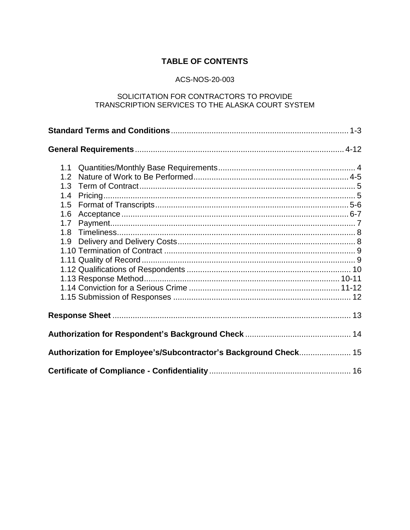## **TABLE OF CONTENTS**

## ACS-NOS-20-003

## SOLICITATION FOR CONTRACTORS TO PROVIDE TRANSCRIPTION SERVICES TO THE ALASKA COURT SYSTEM

| 1.1                                                              |  |
|------------------------------------------------------------------|--|
| 1.2                                                              |  |
| 1.3                                                              |  |
| 1.4                                                              |  |
| 1.5                                                              |  |
| 1.6                                                              |  |
| 1.7                                                              |  |
| 1.8                                                              |  |
| 1.9                                                              |  |
|                                                                  |  |
|                                                                  |  |
|                                                                  |  |
|                                                                  |  |
|                                                                  |  |
|                                                                  |  |
|                                                                  |  |
|                                                                  |  |
| Authorization for Employee's/Subcontractor's Background Check 15 |  |
|                                                                  |  |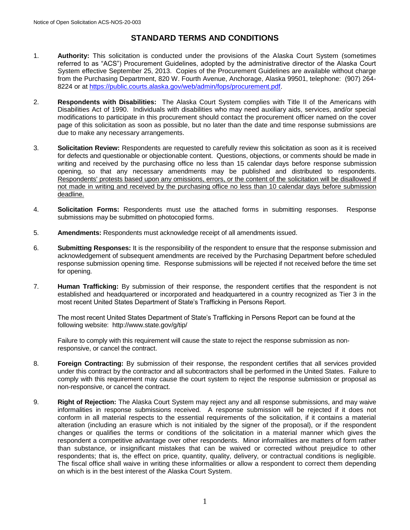## **STANDARD TERMS AND CONDITIONS**

- 1. **Authority:** This solicitation is conducted under the provisions of the Alaska Court System (sometimes referred to as "ACS") Procurement Guidelines, adopted by the administrative director of the Alaska Court System effective September 25, 2013. Copies of the Procurement Guidelines are available without charge from the Purchasing Department, 820 W. Fourth Avenue, Anchorage, Alaska 99501, telephone: (907) 264- 8224 or at [https://public.courts.alaska.gov/web/admin/fops/procurement.pdf.](https://public.courts.alaska.gov/web/admin/fops/procurement.pdf)
- 2. **Respondents with Disabilities:** The Alaska Court System complies with Title II of the Americans with Disabilities Act of 1990. Individuals with disabilities who may need auxiliary aids, services, and/or special modifications to participate in this procurement should contact the procurement officer named on the cover page of this solicitation as soon as possible, but no later than the date and time response submissions are due to make any necessary arrangements.
- 3. **Solicitation Review:** Respondents are requested to carefully review this solicitation as soon as it is received for defects and questionable or objectionable content. Questions, objections, or comments should be made in writing and received by the purchasing office no less than 15 calendar days before response submission opening, so that any necessary amendments may be published and distributed to respondents. Respondents' protests based upon any omissions, errors, or the content of the solicitation will be disallowed if not made in writing and received by the purchasing office no less than 10 calendar days before submission deadline.
- 4. **Solicitation Forms:** Respondents must use the attached forms in submitting responses. Response submissions may be submitted on photocopied forms.
- 5. **Amendments:** Respondents must acknowledge receipt of all amendments issued.
- 6. **Submitting Responses:** It is the responsibility of the respondent to ensure that the response submission and acknowledgement of subsequent amendments are received by the Purchasing Department before scheduled response submission opening time. Response submissions will be rejected if not received before the time set for opening.
- 7. **Human Trafficking:** By submission of their response, the respondent certifies that the respondent is not established and headquartered or incorporated and headquartered in a country recognized as Tier 3 in the most recent United States Department of State's Trafficking in Persons Report.

The most recent United States Department of State's Trafficking in Persons Report can be found at the following website: <http://www.state.gov/g/tip/>

Failure to comply with this requirement will cause the state to reject the response submission as nonresponsive, or cancel the contract.

- 8. **Foreign Contracting:** By submission of their response, the respondent certifies that all services provided under this contract by the contractor and all subcontractors shall be performed in the United States. Failure to comply with this requirement may cause the court system to reject the response submission or proposal as non-responsive, or cancel the contract.
- 9. **Right of Rejection:** The Alaska Court System may reject any and all response submissions, and may waive informalities in response submissions received. A response submission will be rejected if it does not conform in all material respects to the essential requirements of the solicitation, if it contains a material alteration (including an erasure which is not initialed by the signer of the proposal), or if the respondent changes or qualifies the terms or conditions of the solicitation in a material manner which gives the respondent a competitive advantage over other respondents. Minor informalities are matters of form rather than substance, or insignificant mistakes that can be waived or corrected without prejudice to other respondents; that is, the effect on price, quantity, quality, delivery, or contractual conditions is negligible. The fiscal office shall waive in writing these informalities or allow a respondent to correct them depending on which is in the best interest of the Alaska Court System.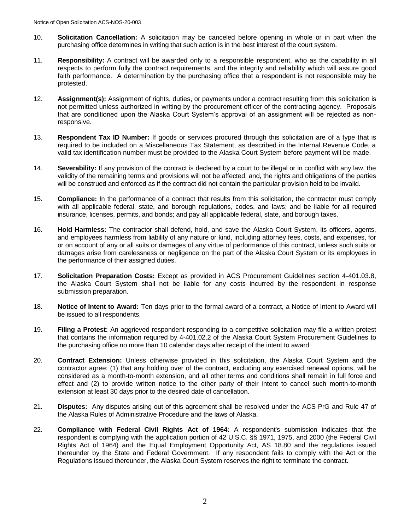- 10. **Solicitation Cancellation:** A solicitation may be canceled before opening in whole or in part when the purchasing office determines in writing that such action is in the best interest of the court system.
- 11. **Responsibility:** A contract will be awarded only to a responsible respondent, who as the capability in all respects to perform fully the contract requirements, and the integrity and reliability which will assure good faith performance. A determination by the purchasing office that a respondent is not responsible may be protested.
- 12. **Assignment(s):** Assignment of rights, duties, or payments under a contract resulting from this solicitation is not permitted unless authorized in writing by the procurement officer of the contracting agency. Proposals that are conditioned upon the Alaska Court System's approval of an assignment will be rejected as nonresponsive.
- 13. **Respondent Tax ID Number:** If goods or services procured through this solicitation are of a type that is required to be included on a Miscellaneous Tax Statement, as described in the Internal Revenue Code, a valid tax identification number must be provided to the Alaska Court System before payment will be made.
- 14. **Severability:** If any provision of the contract is declared by a court to be illegal or in conflict with any law, the validity of the remaining terms and provisions will not be affected; and, the rights and obligations of the parties will be construed and enforced as if the contract did not contain the particular provision held to be invalid.
- 15. **Compliance:** In the performance of a contract that results from this solicitation, the contractor must comply with all applicable federal, state, and borough regulations, codes, and laws; and be liable for all required insurance, licenses, permits, and bonds; and pay all applicable federal, state, and borough taxes.
- 16. **Hold Harmless:** The contractor shall defend, hold, and save the Alaska Court System, its officers, agents, and employees harmless from liability of any nature or kind, including attorney fees, costs, and expenses, for or on account of any or all suits or damages of any virtue of performance of this contract, unless such suits or damages arise from carelessness or negligence on the part of the Alaska Court System or its employees in the performance of their assigned duties.
- 17. **Solicitation Preparation Costs:** Except as provided in ACS Procurement Guidelines section 4-401.03.8, the Alaska Court System shall not be liable for any costs incurred by the respondent in response submission preparation.
- 18. **Notice of Intent to Award:** Ten days prior to the formal award of a contract, a Notice of Intent to Award will be issued to all respondents.
- 19. **Filing a Protest:** An aggrieved respondent responding to a competitive solicitation may file a written protest that contains the information required by 4-401.02.2 of the Alaska Court System Procurement Guidelines to the purchasing office no more than 10 calendar days after receipt of the intent to award.
- 20. **Contract Extension:** Unless otherwise provided in this solicitation, the Alaska Court System and the contractor agree: (1) that any holding over of the contract, excluding any exercised renewal options, will be considered as a month-to-month extension, and all other terms and conditions shall remain in full force and effect and (2) to provide written notice to the other party of their intent to cancel such month-to-month extension at least 30 days prior to the desired date of cancellation.
- 21. **Disputes:** Any disputes arising out of this agreement shall be resolved under the ACS PrG and Rule 47 of the Alaska Rules of Administrative Procedure and the laws of Alaska.
- 22. **Compliance with Federal Civil Rights Act of 1964:** A respondent's submission indicates that the respondent is complying with the application portion of 42 U.S.C. §§ 1971, 1975, and 2000 (the Federal Civil Rights Act of 1964) and the Equal Employment Opportunity Act, AS 18.80 and the regulations issued thereunder by the State and Federal Government. If any respondent fails to comply with the Act or the Regulations issued thereunder, the Alaska Court System reserves the right to terminate the contract.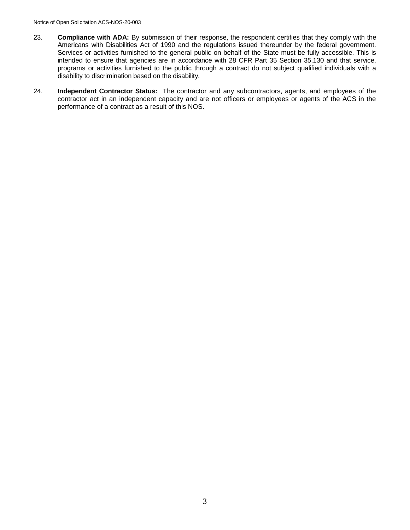- 23. **Compliance with ADA:** By submission of their response, the respondent certifies that they comply with the Americans with Disabilities Act of 1990 and the regulations issued thereunder by the federal government. Services or activities furnished to the general public on behalf of the State must be fully accessible. This is intended to ensure that agencies are in accordance with 28 CFR Part 35 Section 35.130 and that service, programs or activities furnished to the public through a contract do not subject qualified individuals with a disability to discrimination based on the disability.
- 24. **Independent Contractor Status:** The contractor and any subcontractors, agents, and employees of the contractor act in an independent capacity and are not officers or employees or agents of the ACS in the performance of a contract as a result of this NOS.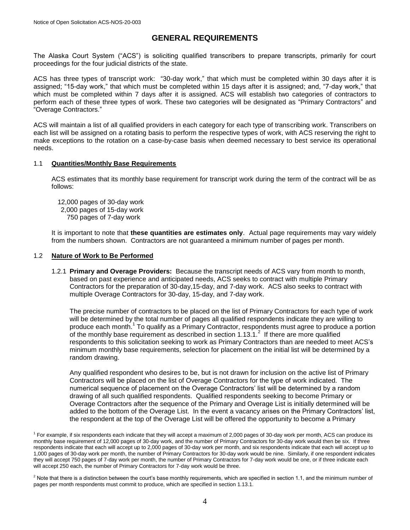## **GENERAL REQUIREMENTS**

The Alaska Court System ("ACS") is soliciting qualified transcribers to prepare transcripts, primarily for court proceedings for the four judicial districts of the state.

ACS has three types of transcript work: "30-day work," that which must be completed within 30 days after it is assigned; "15-day work," that which must be completed within 15 days after it is assigned; and, "7-day work," that which must be completed within 7 days after it is assigned. ACS will establish two categories of contractors to perform each of these three types of work. These two categories will be designated as "Primary Contractors" and "Overage Contractors."

ACS will maintain a list of all qualified providers in each category for each type of transcribing work. Transcribers on each list will be assigned on a rotating basis to perform the respective types of work, with ACS reserving the right to make exceptions to the rotation on a case-by-case basis when deemed necessary to best service its operational needs.

#### 1.1 **Quantities/Monthly Base Requirements**

ACS estimates that its monthly base requirement for transcript work during the term of the contract will be as follows:

12,000 pages of 30-day work 2,000 pages of 15-day work 750 pages of 7-day work

It is important to note that **these quantities are estimates only**. Actual page requirements may vary widely from the numbers shown. Contractors are not guaranteed a minimum number of pages per month.

#### 1.2 **Nature of Work to Be Performed**

1.2.1 **Primary and Overage Providers:** Because the transcript needs of ACS vary from month to month, based on past experience and anticipated needs, ACS seeks to contract with multiple Primary Contractors for the preparation of 30-day,15-day, and 7-day work. ACS also seeks to contract with multiple Overage Contractors for 30-day, 15-day, and 7-day work.

The precise number of contractors to be placed on the list of Primary Contractors for each type of work will be determined by the total number of pages all qualified respondents indicate they are willing to produce each month.<sup>1</sup> To qualify as a Primary Contractor, respondents must agree to produce a portion of the monthly base requirement as described in section  $1.13.1$ .<sup>2</sup> If there are more qualified respondents to this solicitation seeking to work as Primary Contractors than are needed to meet ACS's minimum monthly base requirements, selection for placement on the initial list will be determined by a random drawing.

Any qualified respondent who desires to be, but is not drawn for inclusion on the active list of Primary Contractors will be placed on the list of Overage Contractors for the type of work indicated. The numerical sequence of placement on the Overage Contractors' list will be determined by a random drawing of all such qualified respondents. Qualified respondents seeking to become Primary or Overage Contractors after the sequence of the Primary and Overage List is initially determined will be added to the bottom of the Overage List. In the event a vacancy arises on the Primary Contractors' list, the respondent at the top of the Overage List will be offered the opportunity to become a Primary

<sup>&</sup>lt;sup>1</sup> For example, if six respondents each indicate that they will accept a maximum of 2,000 pages of 30-day work per month, ACS can produce its monthly base requirement of 12,000 pages of 30-day work, and the number of Primary Contractors for 30-day work would then be six. If three respondents indicate that each will accept up to 2,000 pages of 30-day work per month, and six respondents indicate that each will accept up to 1,000 pages of 30-day work per month, the number of Primary Contractors for 30-day work would be nine. Similarly, if one respondent indicates they will accept 750 pages of 7-day work per month, the number of Primary Contractors for 7-day work would be one, or if three indicate each will accept 250 each, the number of Primary Contractors for 7-day work would be three.

 $<sup>2</sup>$  Note that there is a distinction between the court's base monthly requirements, which are specified in section 1.1, and the minimum number of</sup> pages per month respondents must commit to produce, which are specified in section 1.13.1.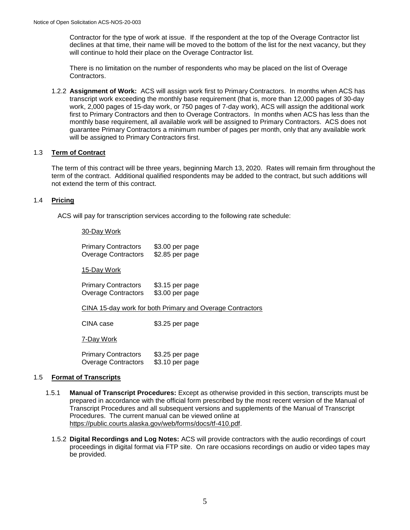Contractor for the type of work at issue. If the respondent at the top of the Overage Contractor list declines at that time, their name will be moved to the bottom of the list for the next vacancy, but they will continue to hold their place on the Overage Contractor list.

There is no limitation on the number of respondents who may be placed on the list of Overage Contractors.

1.2.2 **Assignment of Work:** ACS will assign work first to Primary Contractors. In months when ACS has transcript work exceeding the monthly base requirement (that is, more than 12,000 pages of 30-day work, 2,000 pages of 15-day work, or 750 pages of 7-day work), ACS will assign the additional work first to Primary Contractors and then to Overage Contractors. In months when ACS has less than the monthly base requirement, all available work will be assigned to Primary Contractors. ACS does not guarantee Primary Contractors a minimum number of pages per month, only that any available work will be assigned to Primary Contractors first.

#### 1.3 **Term of Contract**

The term of this contract will be three years, beginning March 13, 2020. Rates will remain firm throughout the term of the contract. Additional qualified respondents may be added to the contract, but such additions will not extend the term of this contract.

#### 1.4 **Pricing**

ACS will pay for transcription services according to the following rate schedule:

#### 30-Day Work

| <b>Primary Contractors</b><br><b>Overage Contractors</b> | \$3.00 per page<br>\$2.85 per page                        |
|----------------------------------------------------------|-----------------------------------------------------------|
| 15-Day Work                                              |                                                           |
| <b>Primary Contractors</b><br>Overage Contractors        | \$3.15 per page<br>\$3.00 per page                        |
|                                                          | CINA 15-day work for both Primary and Overage Contractors |
| CINA case                                                | \$3.25 per page                                           |
| 7-Day Work                                               |                                                           |
|                                                          |                                                           |

Primary Contractors \$3.25 per page Overage Contractors \$3.10 per page

#### 1.5 **Format of Transcripts**

- 1.5.1 **Manual of Transcript Procedures:** Except as otherwise provided in this section, transcripts must be prepared in accordance with the official form prescribed by the most recent version of the Manual of Transcript Procedures and all subsequent versions and supplements of the Manual of Transcript Procedures. The current manual can be viewed online at [https://public.courts.alaska.gov/web/forms/docs/tf-410.pdf.](https://public.courts.alaska.gov/web/forms/docs/tf-410.pdf)
	- 1.5.2 **Digital Recordings and Log Notes:** ACS will provide contractors with the audio recordings of court proceedings in digital format via FTP site. On rare occasions recordings on audio or video tapes may be provided.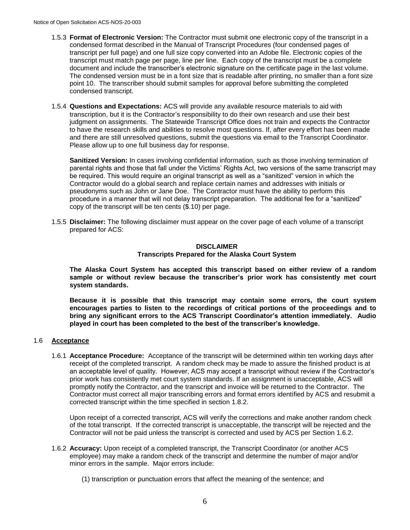- 1.5.3 **Format of Electronic Version:** The Contractor must submit one electronic copy of the transcript in a condensed format described in the Manual of Transcript Procedures (four condensed pages of transcript per full page) and one full size copy converted into an Adobe file. Electronic copies of the transcript must match page per page, line per line. Each copy of the transcript must be a complete document and include the transcriber's electronic signature on the certificate page in the last volume. The condensed version must be in a font size that is readable after printing, no smaller than a font size point 10. The transcriber should submit samples for approval before submitting the completed condensed transcript.
- 1.5.4 **Questions and Expectations:** ACS will provide any available resource materials to aid with transcription, but it is the Contractor's responsibility to do their own research and use their best judgment on assignments. The Statewide Transcript Office does not train and expects the Contractor to have the research skills and abilities to resolve most questions. If, after every effort has been made and there are still unresolved questions, submit the questions via email to the Transcript Coordinator. Please allow up to one full business day for response.

**Sanitized Version:** In cases involving confidential information, such as those involving termination of parental rights and those that fall under the Victims' Rights Act, two versions of the same transcript may be required. This would require an original transcript as well as a "sanitized" version in which the Contractor would do a global search and replace certain names and addresses with initials or pseudonyms such as John or Jane Doe. The Contractor must have the ability to perform this procedure in a manner that will not delay transcript preparation. The additional fee for a "sanitized" copy of the transcript will be ten cents (\$.10) per page.

1.5.5 **Disclaimer:** The following disclaimer must appear on the cover page of each volume of a transcript prepared for ACS:

#### **DISCLAIMER Transcripts Prepared for the Alaska Court System**

**The Alaska Court System has accepted this transcript based on either review of a random sample or without review because the transcriber's prior work has consistently met court system standards.**

**Because it is possible that this transcript may contain some errors, the court system encourages parties to listen to the recordings of critical portions of the proceedings and to bring any significant errors to the ACS Transcript Coordinator's attention immediately. Audio played in court has been completed to the best of the transcriber's knowledge.**

#### 1.6 **Acceptance**

1.6.1 **Acceptance Procedure:** Acceptance of the transcript will be determined within ten working days after receipt of the completed transcript. A random check may be made to assure the finished product is at an acceptable level of quality. However, ACS may accept a transcript without review if the Contractor's prior work has consistently met court system standards. If an assignment is unacceptable, ACS will promptly notify the Contractor, and the transcript and invoice will be returned to the Contractor. The Contractor must correct all major transcribing errors and format errors identified by ACS and resubmit a corrected transcript within the time specified in section 1.8.2.

Upon receipt of a corrected transcript, ACS will verify the corrections and make another random check of the total transcript. If the corrected transcript is unacceptable, the transcript will be rejected and the Contractor will not be paid unless the transcript is corrected and used by ACS per Section 1.6.2.

- 1.6.2 **Accuracy:** Upon receipt of a completed transcript, the Transcript Coordinator (or another ACS employee) may make a random check of the transcript and determine the number of major and/or minor errors in the sample. Major errors include:
	- (1) transcription or punctuation errors that affect the meaning of the sentence; and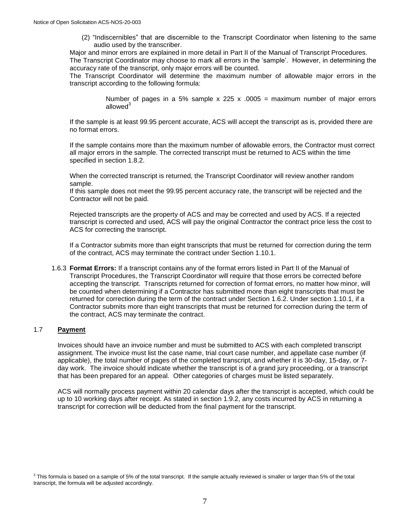(2) "Indiscernibles" that are discernible to the Transcript Coordinator when listening to the same audio used by the transcriber.

Major and minor errors are explained in more detail in Part II of the Manual of Transcript Procedures. The Transcript Coordinator may choose to mark all errors in the 'sample'. However, in determining the

accuracy rate of the transcript, only major errors will be counted.

The Transcript Coordinator will determine the maximum number of allowable major errors in the transcript according to the following formula:

> Number of pages in a 5% sample x 225 x .0005 = maximum number of major errors allowed<sup>3</sup>

If the sample is at least 99.95 percent accurate, ACS will accept the transcript as is, provided there are no format errors.

If the sample contains more than the maximum number of allowable errors, the Contractor must correct all major errors in the sample. The corrected transcript must be returned to ACS within the time specified in section 1.8.2.

When the corrected transcript is returned, the Transcript Coordinator will review another random sample.

If this sample does not meet the 99.95 percent accuracy rate, the transcript will be rejected and the Contractor will not be paid.

Rejected transcripts are the property of ACS and may be corrected and used by ACS. If a rejected transcript is corrected and used, ACS will pay the original Contractor the contract price less the cost to ACS for correcting the transcript.

If a Contractor submits more than eight transcripts that must be returned for correction during the term of the contract, ACS may terminate the contract under Section 1.10.1.

1.6.3 **Format Errors:** If a transcript contains any of the format errors listed in Part II of the Manual of Transcript Procedures, the Transcript Coordinator will require that those errors be corrected before accepting the transcript. Transcripts returned for correction of format errors, no matter how minor, will be counted when determining if a Contractor has submitted more than eight transcripts that must be returned for correction during the term of the contract under Section 1.6.2. Under section 1.10.1, if a Contractor submits more than eight transcripts that must be returned for correction during the term of the contract, ACS may terminate the contract.

#### 1.7 **Payment**

Invoices should have an invoice number and must be submitted to ACS with each completed transcript assignment. The invoice must list the case name, trial court case number, and appellate case number (if applicable), the total number of pages of the completed transcript, and whether it is 30-day, 15-day, or 7 day work. The invoice should indicate whether the transcript is of a grand jury proceeding, or a transcript that has been prepared for an appeal. Other categories of charges must be listed separately.

ACS will normally process payment within 20 calendar days after the transcript is accepted, which could be up to 10 working days after receipt. As stated in section 1.9.2, any costs incurred by ACS in returning a transcript for correction will be deducted from the final payment for the transcript.

 $3$  This formula is based on a sample of 5% of the total transcript. If the sample actually reviewed is smaller or larger than 5% of the total transcript, the formula will be adjusted accordingly.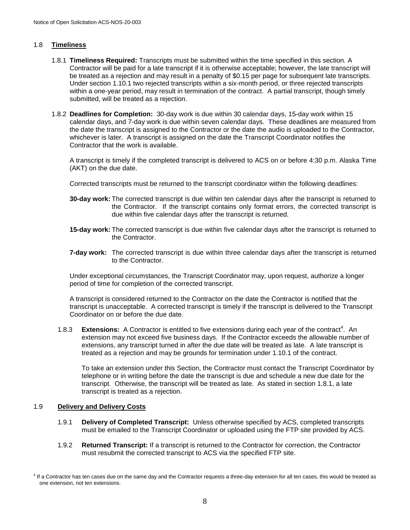#### 1.8 **Timeliness**

- 1.8.1 **Timeliness Required:** Transcripts must be submitted within the time specified in this section. A Contractor will be paid for a late transcript if it is otherwise acceptable; however, the late transcript will be treated as a rejection and may result in a penalty of \$0.15 per page for subsequent late transcripts. Under section 1.10.1 two rejected transcripts within a six-month period, or three rejected transcripts within a one-year period, may result in termination of the contract. A partial transcript, though timely submitted, will be treated as a rejection.
- 1.8.2 **Deadlines for Completion:** 30-day work is due within 30 calendar days, 15-day work within 15 calendar days, and 7-day work is due within seven calendar days. **T**hese deadlines are measured from the date the transcript is assigned to the Contractor or the date the audio is uploaded to the Contractor, whichever is later. A transcript is assigned on the date the Transcript Coordinator notifies the Contractor that the work is available.

A transcript is timely if the completed transcript is delivered to ACS on or before 4:30 p.m. Alaska Time (AKT) on the due date.

Corrected transcripts must be returned to the transcript coordinator within the following deadlines:

- **30-day work:** The corrected transcript is due within ten calendar days after the transcript is returned to the Contractor. If the transcript contains only format errors, the corrected transcript is due within five calendar days after the transcript is returned.
- **15-day work:** The corrected transcript is due within five calendar days after the transcript is returned to the Contractor.
- **7-day work:** The corrected transcript is due within three calendar days after the transcript is returned to the Contractor.

Under exceptional circumstances, the Transcript Coordinator may, upon request, authorize a longer period of time for completion of the corrected transcript.

A transcript is considered returned to the Contractor on the date the Contractor is notified that the transcript is unacceptable. A corrected transcript is timely if the transcript is delivered to the Transcript Coordinator on or before the due date.

1.8.3 **Extensions:** A Contractor is entitled to five extensions during each year of the contract<sup>4</sup>. An extension may not exceed five business days. If the Contractor exceeds the allowable number of extensions, any transcript turned in after the due date will be treated as late. A late transcript is treated as a rejection and may be grounds for termination under 1.10.1 of the contract.

To take an extension under this Section, the Contractor must contact the Transcript Coordinator by telephone or in writing before the date the transcript is due and schedule a new due date for the transcript. Otherwise, the transcript will be treated as late. As stated in section 1.8.1, a late transcript is treated as a rejection.

#### 1.9 **Delivery and Delivery Costs**

- 1.9.1 **Delivery of Completed Transcript:** Unless otherwise specified by ACS, completed transcripts must be emailed to the Transcript Coordinator or uploaded using the FTP site provided by ACS.
- 1.9.2 **Returned Transcript:** If a transcript is returned to the Contractor for correction, the Contractor must resubmit the corrected transcript to ACS via the specified FTP site.

<sup>&</sup>lt;sup>4</sup> If a Contractor has ten cases due on the same day and the Contractor requests a three-day extension for all ten cases, this would be treated as one extension, not ten extensions.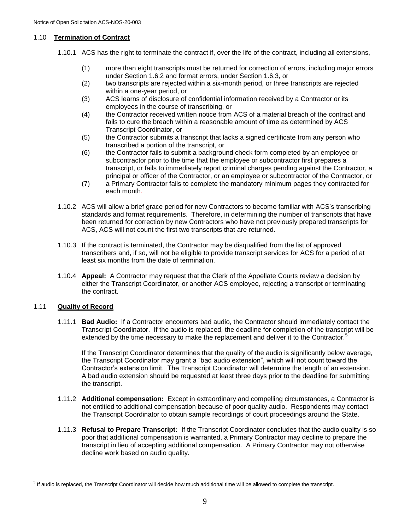#### 1.10 **Termination of Contract**

- 1.10.1 ACS has the right to terminate the contract if, over the life of the contract, including all extensions,
	- (1) more than eight transcripts must be returned for correction of errors, including major errors under Section 1.6.2 and format errors, under Section 1.6.3, or
	- (2) two transcripts are rejected within a six-month period, or three transcripts are rejected within a one-year period, or
	- (3) ACS learns of disclosure of confidential information received by a Contractor or its employees in the course of transcribing, or
	- (4) the Contractor received written notice from ACS of a material breach of the contract and fails to cure the breach within a reasonable amount of time as determined by ACS Transcript Coordinator, or
	- (5) the Contractor submits a transcript that lacks a signed certificate from any person who transcribed a portion of the transcript, or
	- (6) the Contractor fails to submit a background check form completed by an employee or subcontractor prior to the time that the employee or subcontractor first prepares a transcript, or fails to immediately report criminal charges pending against the Contractor, a principal or officer of the Contractor, or an employee or subcontractor of the Contractor, or
	- (7) a Primary Contractor fails to complete the mandatory minimum pages they contracted for each month.
- 1.10.2 ACS will allow a brief grace period for new Contractors to become familiar with ACS's transcribing standards and format requirements. Therefore, in determining the number of transcripts that have been returned for correction by new Contractors who have not previously prepared transcripts for ACS, ACS will not count the first two transcripts that are returned.
- 1.10.3 If the contract is terminated, the Contractor may be disqualified from the list of approved transcribers and, if so, will not be eligible to provide transcript services for ACS for a period of at least six months from the date of termination.
- 1.10.4 **Appeal:** A Contractor may request that the Clerk of the Appellate Courts review a decision by either the Transcript Coordinator, or another ACS employee, rejecting a transcript or terminating the contract.

#### 1.11 **Quality of Record**

1.11.1 **Bad Audio:** If a Contractor encounters bad audio, the Contractor should immediately contact the Transcript Coordinator. If the audio is replaced, the deadline for completion of the transcript will be extended by the time necessary to make the replacement and deliver it to the Contractor.<sup>5</sup>

If the Transcript Coordinator determines that the quality of the audio is significantly below average, the Transcript Coordinator may grant a "bad audio extension", which will not count toward the Contractor's extension limit. The Transcript Coordinator will determine the length of an extension. A bad audio extension should be requested at least three days prior to the deadline for submitting the transcript.

- 1.11.2 **Additional compensation:** Except in extraordinary and compelling circumstances, a Contractor is not entitled to additional compensation because of poor quality audio. Respondents may contact the Transcript Coordinator to obtain sample recordings of court proceedings around the State.
- 1.11.3 **Refusal to Prepare Transcript:** If the Transcript Coordinator concludes that the audio quality is so poor that additional compensation is warranted, a Primary Contractor may decline to prepare the transcript in lieu of accepting additional compensation. A Primary Contractor may not otherwise decline work based on audio quality.

<sup>&</sup>lt;sup>5</sup> If audio is replaced, the Transcript Coordinator will decide how much additional time will be allowed to complete the transcript.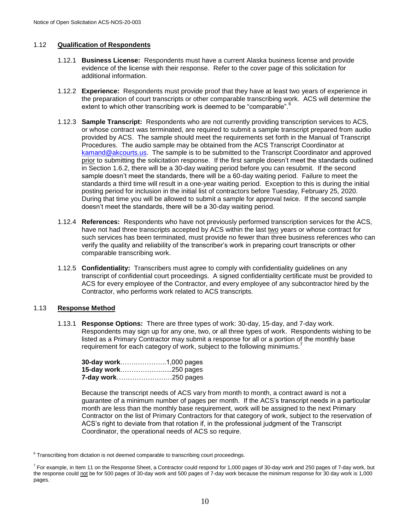#### 1.12 **Qualification of Respondents**

- 1.12.1 **Business License:** Respondents must have a current Alaska business license and provide evidence of the license with their response. Refer to the cover page of this solicitation for additional information.
- 1.12.2 **Experience:** Respondents must provide proof that they have at least two years of experience in the preparation of court transcripts or other comparable transcribing work. ACS will determine the extent to which other transcribing work is deemed to be "comparable".
- 1.12.3 **Sample Transcript:** Respondents who are not currently providing transcription services to ACS, or whose contract was terminated, are required to submit a sample transcript prepared from audio provided by ACS. The sample should meet the requirements set forth in the Manual of Transcript Procedures. The audio sample may be obtained from the ACS Transcript Coordinator at [kamand@akcourts.us.](file:///C:/Users/jhead/AppData/Local/Microsoft/Windows/Temporary%20Internet%20Files/Content.Outlook/MJ01L1HM/kamand@akcourts.us) The sample is to be submitted to the Transcript Coordinator and approved prior to submitting the solicitation response. If the first sample doesn't meet the standards outlined in Section 1.6.2, there will be a 30-day waiting period before you can resubmit. If the second sample doesn't meet the standards, there will be a 60-day waiting period. Failure to meet the standards a third time will result in a one-year waiting period. Exception to this is during the initial posting period for inclusion in the initial list of contractors before Tuesday, February 25, 2020. During that time you will be allowed to submit a sample for approval twice. If the second sample doesn't meet the standards, there will be a 30-day waiting period.
- 1.12.4 **References:** Respondents who have not previously performed transcription services for the ACS, have not had three transcripts accepted by ACS within the last two years or whose contract for such services has been terminated, must provide no fewer than three business references who can verify the quality and reliability of the transcriber's work in preparing court transcripts or other comparable transcribing work.
- 1.12.5 **Confidentiality:** Transcribers must agree to comply with confidentiality guidelines on any transcript of confidential court proceedings. A signed confidentiality certificate must be provided to ACS for every employee of the Contractor, and every employee of any subcontractor hired by the Contractor, who performs work related to ACS transcripts.

#### 1.13 **Response Method**

1.13.1 **Response Options:** There are three types of work: 30-day, 15-day, and 7-day work. Respondents may sign up for any one, two, or all three types of work. Respondents wishing to be listed as a Primary Contractor may submit a response for all or a portion of the monthly base requirement for each category of work, subject to the following minimums.<sup>7</sup>

| <b>7-day work250 pages</b> |  |
|----------------------------|--|

Because the transcript needs of ACS vary from month to month, a contract award is not a guarantee of a minimum number of pages per month. If the ACS's transcript needs in a particular month are less than the monthly base requirement, work will be assigned to the next Primary Contractor on the list of Primary Contractors for that category of work, subject to the reservation of ACS's right to deviate from that rotation if, in the professional judgment of the Transcript Coordinator, the operational needs of ACS so require.

 $6$  Transcribing from dictation is not deemed comparable to transcribing court proceedings.

<sup>&</sup>lt;sup>7</sup> For example, in Item 11 on the Response Sheet, a Contractor could respond for 1,000 pages of 30-day work and 250 pages of 7-day work, but the response could not be for 500 pages of 30-day work and 500 pages of 7-day work because the minimum response for 30 day work is 1,000 pages.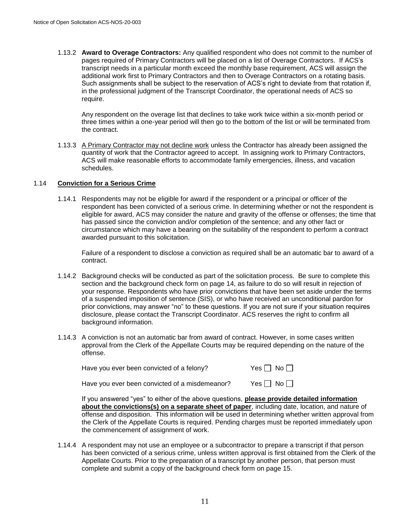1.13.2 **Award to Overage Contractors:** Any qualified respondent who does not commit to the number of pages required of Primary Contractors will be placed on a list of Overage Contractors. If ACS's transcript needs in a particular month exceed the monthly base requirement, ACS will assign the additional work first to Primary Contractors and then to Overage Contractors on a rotating basis. Such assignments shall be subject to the reservation of ACS's right to deviate from that rotation if, in the professional judgment of the Transcript Coordinator, the operational needs of ACS so require.

Any respondent on the overage list that declines to take work twice within a six-month period or three times within a one-year period will then go to the bottom of the list or will be terminated from the contract.

1.13.3 A Primary Contractor may not decline work unless the Contractor has already been assigned the quantity of work that the Contractor agreed to accept. In assigning work to Primary Contractors, ACS will make reasonable efforts to accommodate family emergencies, illness, and vacation schedules.

#### 1.14 **Conviction for a Serious Crime**

1.14.1 Respondents may not be eligible for award if the respondent or a principal or officer of the respondent has been convicted of a serious crime. In determining whether or not the respondent is eligible for award, ACS may consider the nature and gravity of the offense or offenses; the time that has passed since the conviction and/or completion of the sentence; and any other fact or circumstance which may have a bearing on the suitability of the respondent to perform a contract awarded pursuant to this solicitation.

Failure of a respondent to disclose a conviction as required shall be an automatic bar to award of a contract.

- 1.14.2 Background checks will be conducted as part of the solicitation process. Be sure to complete this section and the background check form on page 14, as failure to do so will result in rejection of your response. Respondents who have prior convictions that have been set aside under the terms of a suspended imposition of sentence (SIS), or who have received an unconditional pardon for prior convictions, may answer "no" to these questions. If you are not sure if your situation requires disclosure, please contact the Transcript Coordinator. ACS reserves the right to confirm all background information.
- 1.14.3 A conviction is not an automatic bar from award of contract. However, in some cases written approval from the Clerk of the Appellate Courts may be required depending on the nature of the offense.

| Have you ever been convicted of a felony?      | Yes $\Box$ No $\Box$ |
|------------------------------------------------|----------------------|
| Have you ever been convicted of a misdemeanor? | Yes $\Box$ No $\Box$ |

If you answered "yes" to either of the above questions, **please provide detailed information about the convictions(s) on a separate sheet of paper**, including date, location, and nature of offense and disposition. This information will be used in determining whether written approval from the Clerk of the Appellate Courts is required. Pending charges must be reported immediately upon the commencement of assignment of work.

1.14.4 A respondent may not use an employee or a subcontractor to prepare a transcript if that person has been convicted of a serious crime, unless written approval is first obtained from the Clerk of the Appellate Courts. Prior to the preparation of a transcript by another person, that person must complete and submit a copy of the background check form on page 15.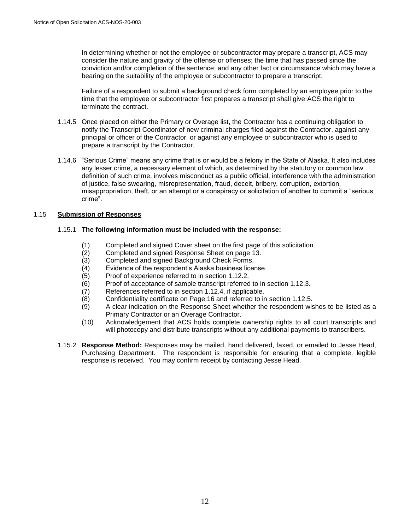In determining whether or not the employee or subcontractor may prepare a transcript, ACS may consider the nature and gravity of the offense or offenses; the time that has passed since the conviction and/or completion of the sentence; and any other fact or circumstance which may have a bearing on the suitability of the employee or subcontractor to prepare a transcript.

Failure of a respondent to submit a background check form completed by an employee prior to the time that the employee or subcontractor first prepares a transcript shall give ACS the right to terminate the contract.

- 1.14.5 Once placed on either the Primary or Overage list, the Contractor has a continuing obligation to notify the Transcript Coordinator of new criminal charges filed against the Contractor, against any principal or officer of the Contractor, or against any employee or subcontractor who is used to prepare a transcript by the Contractor.
- 1.14.6 "Serious Crime" means any crime that is or would be a felony in the State of Alaska. It also includes any lesser crime, a necessary element of which, as determined by the statutory or common law definition of such crime, involves misconduct as a public official, interference with the administration of justice, false swearing, misrepresentation, fraud, deceit, bribery, corruption, extortion, misappropriation, theft, or an attempt or a conspiracy or solicitation of another to commit a "serious crime".

#### 1.15 **Submission of Responses**

#### 1.15.1 **The following information must be included with the response:**

- (1) Completed and signed Cover sheet on the first page of this solicitation.
- (2) Completed and signed Response Sheet on page 13.
- (3) Completed and signed Background Check Forms.
- (4) Evidence of the respondent's Alaska business license.
- (5) Proof of experience referred to in section 1.12.2.
- (6) Proof of acceptance of sample transcript referred to in section 1.12.3.
- (7) References referred to in section 1.12.4, if applicable.
- (8) Confidentiality certificate on Page 16 and referred to in section 1.12.5.
- (9) A clear indication on the Response Sheet whether the respondent wishes to be listed as a Primary Contractor or an Overage Contractor.
- (10) Acknowledgement that ACS holds complete ownership rights to all court transcripts and will photocopy and distribute transcripts without any additional payments to transcribers.
- 1.15.2 **Response Method:** Responses may be mailed, hand delivered, faxed, or emailed to Jesse Head, Purchasing Department. The respondent is responsible for ensuring that a complete, legible response is received. You may confirm receipt by contacting Jesse Head.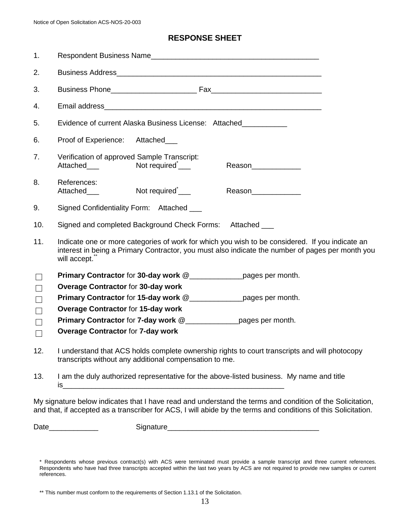## **RESPONSE SHEET**

| 1.                                        |                                                                                                                                                                                                                     |
|-------------------------------------------|---------------------------------------------------------------------------------------------------------------------------------------------------------------------------------------------------------------------|
| 2.                                        |                                                                                                                                                                                                                     |
| 3.                                        |                                                                                                                                                                                                                     |
| 4.                                        |                                                                                                                                                                                                                     |
| 5.                                        | Evidence of current Alaska Business License: Attached                                                                                                                                                               |
| 6.                                        | Proof of Experience: Attached___                                                                                                                                                                                    |
| 7.                                        | Verification of approved Sample Transcript:<br>Not required <sup>*</sup> <sub>___</sub><br>Attached___<br>Reason______________                                                                                      |
| 8.                                        | References:<br>Not required <sup>*</sup> <sub>____</sub><br>Attached___<br>Reason_____________                                                                                                                      |
| 9.                                        | Signed Confidentiality Form: Attached ___                                                                                                                                                                           |
| 10.                                       | Signed and completed Background Check Forms: Attached ___                                                                                                                                                           |
| 11.                                       | Indicate one or more categories of work for which you wish to be considered. If you indicate an<br>interest in being a Primary Contractor, you must also indicate the number of pages per month you<br>will accept. |
| $\Box$                                    |                                                                                                                                                                                                                     |
| $\Box$<br>$\Box$<br>$\Box$<br>П<br>$\Box$ | <b>Overage Contractor for 30-day work</b><br><b>Overage Contractor for 15-day work</b><br>Primary Contractor for 7-day work @_______________pages per month.<br><b>Overage Contractor for 7-day work</b>            |
| 12.                                       | I understand that ACS holds complete ownership rights to court transcripts and will photocopy<br>transcripts without any additional compensation to me.                                                             |
| 13.                                       | I am the duly authorized representative for the above-listed business. My name and title                                                                                                                            |

My signature below indicates that I have read and understand the terms and condition of the Solicitation, and that, if accepted as a transcriber for ACS, I will abide by the terms and conditions of this Solicitation.

Date\_\_\_\_\_\_\_\_\_\_\_\_ Signature\_\_\_\_\_\_\_\_\_\_\_\_\_\_\_\_\_\_\_\_\_\_\_\_\_\_\_\_\_\_\_\_\_\_\_\_\_

<sup>\*</sup> Respondents whose previous contract(s) with ACS were terminated must provide a sample transcript and three current references. Respondents who have had three transcripts accepted within the last two years by ACS are not required to provide new samples or current references.

<sup>\*\*</sup> This number must conform to the requirements of Section 1.13.1 of the Solicitation.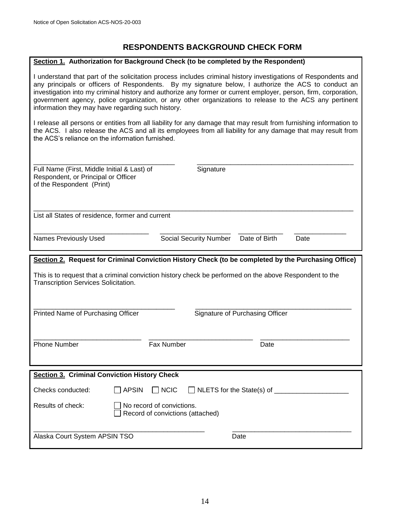## **RESPONDENTS BACKGROUND CHECK FORM**

#### **Section 1. Authorization for Background Check (to be completed by the Respondent)**

I understand that part of the solicitation process includes criminal history investigations of Respondents and any principals or officers of Respondents. By my signature below, I authorize the ACS to conduct an investigation into my criminal history and authorize any former or current employer, person, firm, corporation, government agency, police organization, or any other organizations to release to the ACS any pertinent information they may have regarding such history.

I release all persons or entities from all liability for any damage that may result from furnishing information to the ACS. I also release the ACS and all its employees from all liability for any damage that may result from the ACS's reliance on the information furnished.

| Full Name (First, Middle Initial & Last) of<br>Respondent, or Principal or Officer<br>of the Respondent (Print)                                 | Signature                                                     |                                 |      |
|-------------------------------------------------------------------------------------------------------------------------------------------------|---------------------------------------------------------------|---------------------------------|------|
| List all States of residence, former and current                                                                                                |                                                               |                                 |      |
| <b>Names Previously Used</b>                                                                                                                    | <b>Social Security Number</b>                                 | Date of Birth                   | Date |
| Section 2. Request for Criminal Conviction History Check (to be completed by the Purchasing Office)                                             |                                                               |                                 |      |
| This is to request that a criminal conviction history check be performed on the above Respondent to the<br>Transcription Services Solicitation. |                                                               |                                 |      |
| Printed Name of Purchasing Officer                                                                                                              |                                                               | Signature of Purchasing Officer |      |
| <b>Phone Number</b>                                                                                                                             | Fax Number                                                    | Date                            |      |
| <b>Section 3. Criminal Conviction History Check</b>                                                                                             |                                                               |                                 |      |
| Checks conducted:<br><b>APSIN</b>                                                                                                               | $\sqcap$ NCIC                                                 | NLETS for the State(s) of _____ |      |
| Results of check:                                                                                                                               | No record of convictions.<br>Record of convictions (attached) |                                 |      |
| Alaska Court System APSIN TSO                                                                                                                   |                                                               | Date                            |      |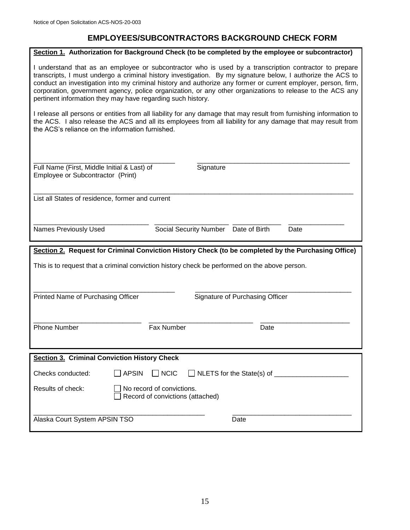## **EMPLOYEES/SUBCONTRACTORS BACKGROUND CHECK FORM**

|                                                                                  | Section 1. Authorization for Background Check (to be completed by the employee or subcontractor)                                                                                                                                                                                                                                                                                                                                                    |
|----------------------------------------------------------------------------------|-----------------------------------------------------------------------------------------------------------------------------------------------------------------------------------------------------------------------------------------------------------------------------------------------------------------------------------------------------------------------------------------------------------------------------------------------------|
| pertinent information they may have regarding such history.                      | I understand that as an employee or subcontractor who is used by a transcription contractor to prepare<br>transcripts, I must undergo a criminal history investigation. By my signature below, I authorize the ACS to<br>conduct an investigation into my criminal history and authorize any former or current employer, person, firm,<br>corporation, government agency, police organization, or any other organizations to release to the ACS any |
| the ACS's reliance on the information furnished.                                 | I release all persons or entities from all liability for any damage that may result from furnishing information to<br>the ACS. I also release the ACS and all its employees from all liability for any damage that may result from                                                                                                                                                                                                                  |
| Full Name (First, Middle Initial & Last) of<br>Employee or Subcontractor (Print) | Signature                                                                                                                                                                                                                                                                                                                                                                                                                                           |
| List all States of residence, former and current                                 |                                                                                                                                                                                                                                                                                                                                                                                                                                                     |
| <b>Names Previously Used</b>                                                     | Date of Birth<br><b>Social Security Number</b><br>Date                                                                                                                                                                                                                                                                                                                                                                                              |
|                                                                                  |                                                                                                                                                                                                                                                                                                                                                                                                                                                     |
|                                                                                  | Section 2. Request for Criminal Conviction History Check (to be completed by the Purchasing Office)                                                                                                                                                                                                                                                                                                                                                 |
|                                                                                  | This is to request that a criminal conviction history check be performed on the above person.                                                                                                                                                                                                                                                                                                                                                       |
| Printed Name of Purchasing Officer                                               | Signature of Purchasing Officer                                                                                                                                                                                                                                                                                                                                                                                                                     |
| <b>Phone Number</b>                                                              | Fax Number<br>Date                                                                                                                                                                                                                                                                                                                                                                                                                                  |
| <b>Section 3. Criminal Conviction History Check</b>                              |                                                                                                                                                                                                                                                                                                                                                                                                                                                     |
| Checks conducted:<br><b>APSIN</b>                                                | $\Box$ NCIC                                                                                                                                                                                                                                                                                                                                                                                                                                         |
| Results of check:                                                                | No record of convictions.<br>Record of convictions (attached)                                                                                                                                                                                                                                                                                                                                                                                       |